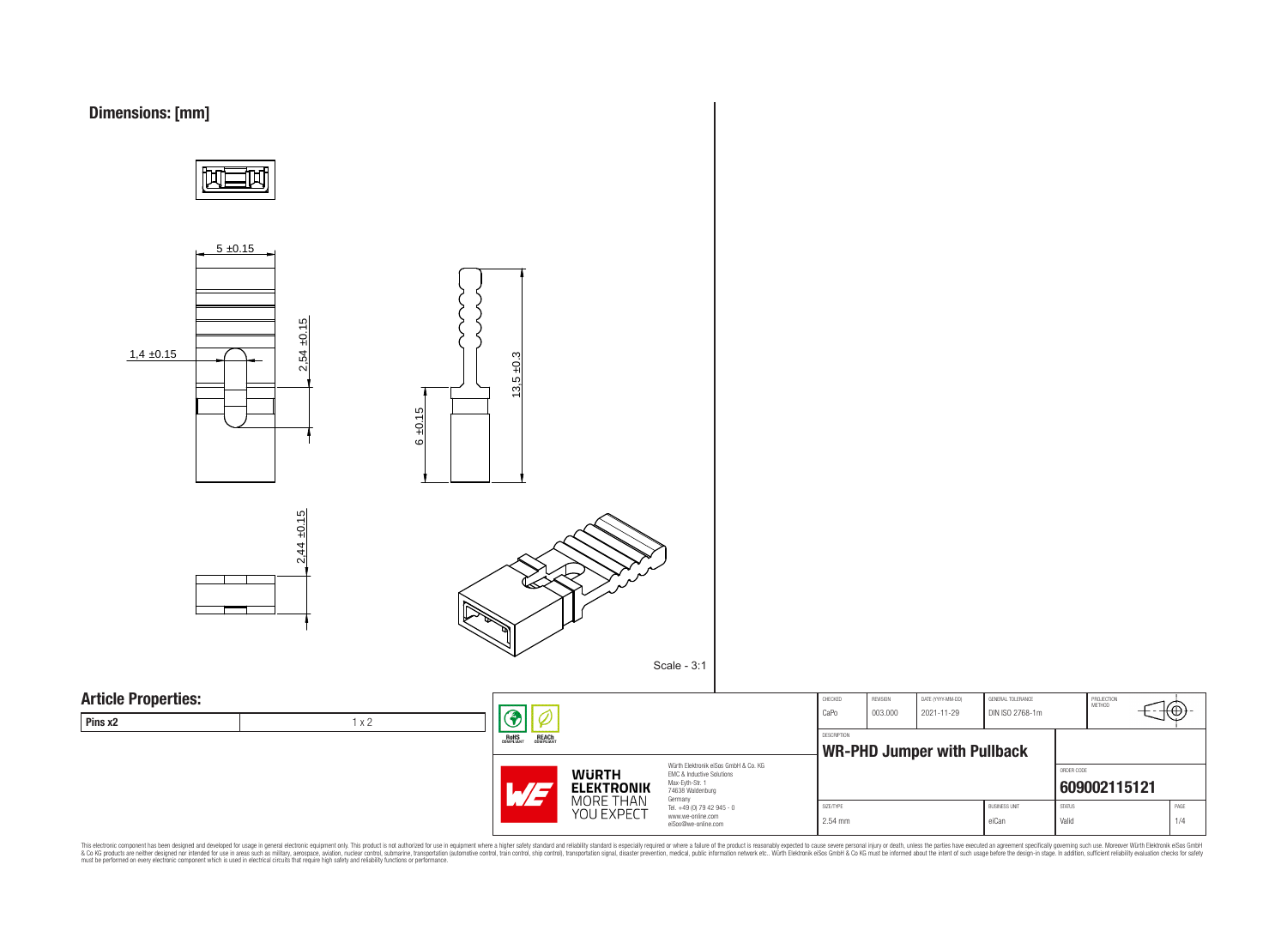



CHECKED REVISION DATE (YYYY-MM-DD) GENERAL TOLERANCE PROJECTION<br>METHOD ⊕ CaPo 003.000 2021-11-29 DIN ISO 2768-1m DESCRIPTION **WR-PHD Jumper with Pullback** Würth Elektronik eiSos GmbH & Co. KG ORDER CODE EMC & Inductive Solutions **[609002115121](https://www.we-online.com/catalog/en/article/609002115121)** Tel. +49 (0) 79 42 945 - 0 SIZE/TYPE BUSINESS UNIT STATUS PAGE 2.54 mm eiCan eiCan Valid Valid 1/4

This electronic component has been designed and developed for usage in general electronic equipment only. This product is not authorized for subserved requipment where a higher selection equipment where a higher selection

**WURTH ELEKTRONIK** MORE THAN YOU EXPECT

Max-Eyth-Str. 1 74638 Waldenburg Germany

www.we-online.com eiSos@we-online.com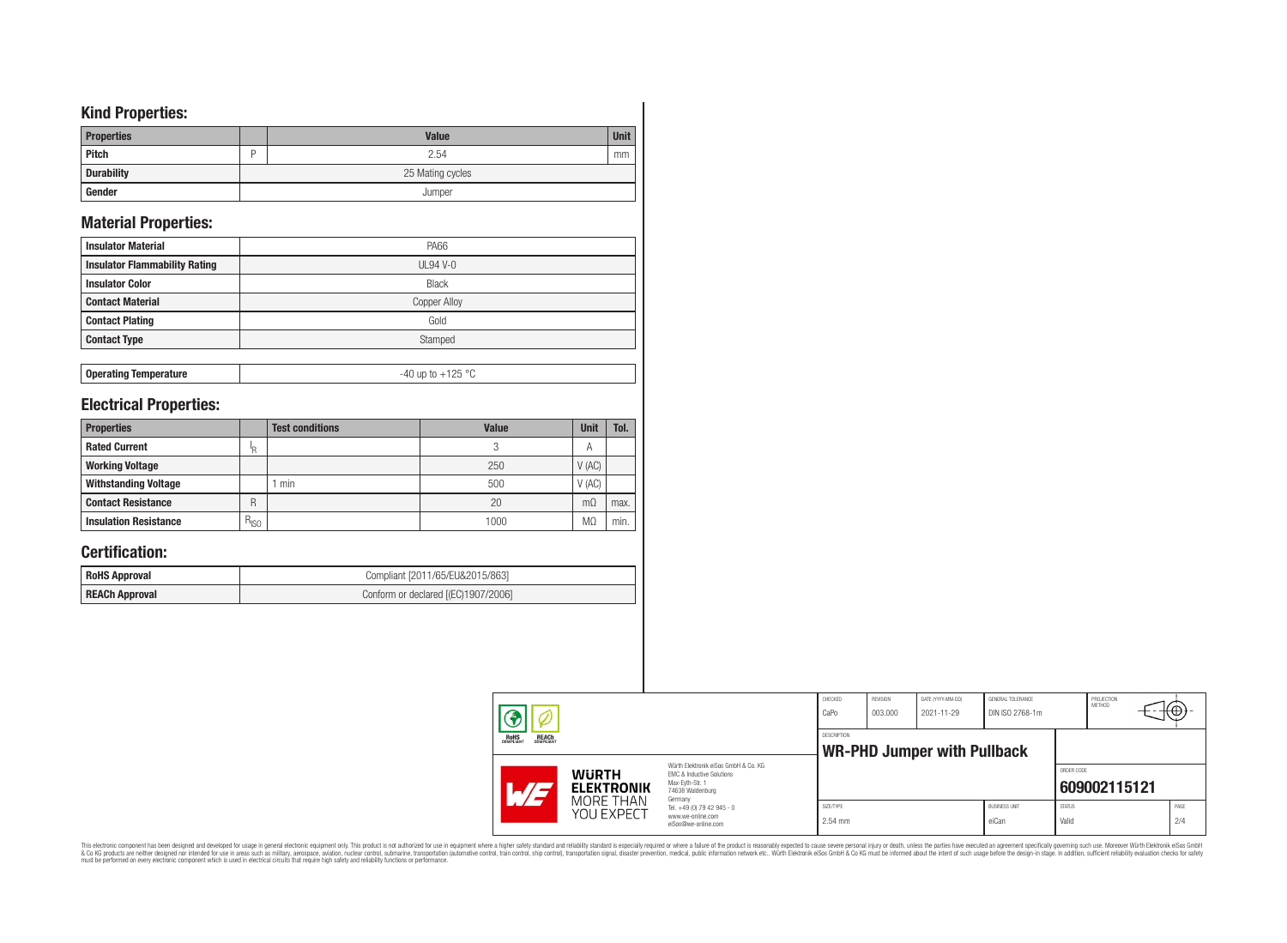## **Kind Properties:**

| <b>Properties</b> |   | <b>Value</b>     | <b>Unit</b> |
|-------------------|---|------------------|-------------|
| Pitch             | D | 2.54             | mm          |
| <b>Durability</b> |   | 25 Mating cycles |             |
| Gender            |   | Jumper           |             |

# **Material Properties:**

| <b>Insulator Material</b>            | <b>PA66</b>     |
|--------------------------------------|-----------------|
| <b>Insulator Flammability Rating</b> | <b>UL94 V-0</b> |
| <b>Insulator Color</b>               | <b>Black</b>    |
| <b>Contact Material</b>              | Copper Alloy    |
| <b>Contact Plating</b>               | Gold            |
| <b>Contact Type</b>                  | Stamped         |

**Operating Temperature** -40 up to +125 °C

## **Electrical Properties:**

| <b>Properties</b>            |               | <b>Test conditions</b> | <b>Value</b> | <b>Unit</b>    | Tol. |
|------------------------------|---------------|------------------------|--------------|----------------|------|
| <b>Rated Current</b>         | ΙR            |                        |              | A              |      |
| <b>Working Voltage</b>       |               |                        | 250          | $V$ (AC)       |      |
| <b>Withstanding Voltage</b>  |               | min                    | 500          | V(AC)          |      |
| <b>Contact Resistance</b>    | R             |                        | 20           | $m\Omega$      | max. |
| <b>Insulation Resistance</b> | $R_{\mid SO}$ |                        | 1000         | M <sub>2</sub> | min. |

# **Certification:**

| <b>RoHS Approval</b>  | Compliant [2011/65/EU&2015/863]     |
|-----------------------|-------------------------------------|
| <b>REACh Approval</b> | Conform or declared [(EC)1907/2006] |

|                                                |                                   |                                                                                                                                | CHECKED<br>CaPo      | <b>REVISION</b><br>003.000 | DATE (YYYY-MM-DD)<br>2021-11-29    | GENERAL TOLERANCE<br>DIN ISO 2768-1m |                        | PROJECTION<br>METHOD | ΨΨ. |             |
|------------------------------------------------|-----------------------------------|--------------------------------------------------------------------------------------------------------------------------------|----------------------|----------------------------|------------------------------------|--------------------------------------|------------------------|----------------------|-----|-------------|
| ROHS<br>COMPLIANT<br><b>REACH</b><br>COMPLIANT |                                   |                                                                                                                                | DESCRIPTION          |                            | <b>WR-PHD Jumper with Pullback</b> |                                      |                        |                      |     |             |
| $\mathcal{A}/\mathcal{A}$                      | <b>WURTH</b><br><b>ELEKTRONIK</b> | Würth Elektronik eiSos GmbH & Co. KG<br><b>EMC &amp; Inductive Solutions</b><br>Max-Eyth-Str. 1<br>74638 Waldenburg<br>Germany |                      |                            |                                    |                                      | ORDER CODE             | 609002115121         |     |             |
|                                                | MORE THAN<br>YOU EXPECT           | Tel. +49 (0) 79 42 945 - 0<br>www.we-online.com<br>eiSos@we-online.com                                                         | SIZE/TYPE<br>2.54 mm |                            |                                    | <b>BUSINESS UNIT</b><br>eiCan        | <b>STATUS</b><br>Valid |                      |     | PAGE<br>2/4 |

This electronic component has been designed and developed for usage in general electronic equipment only. This product is not authorized for subserved requipment where a higher selection equipment where a higher selection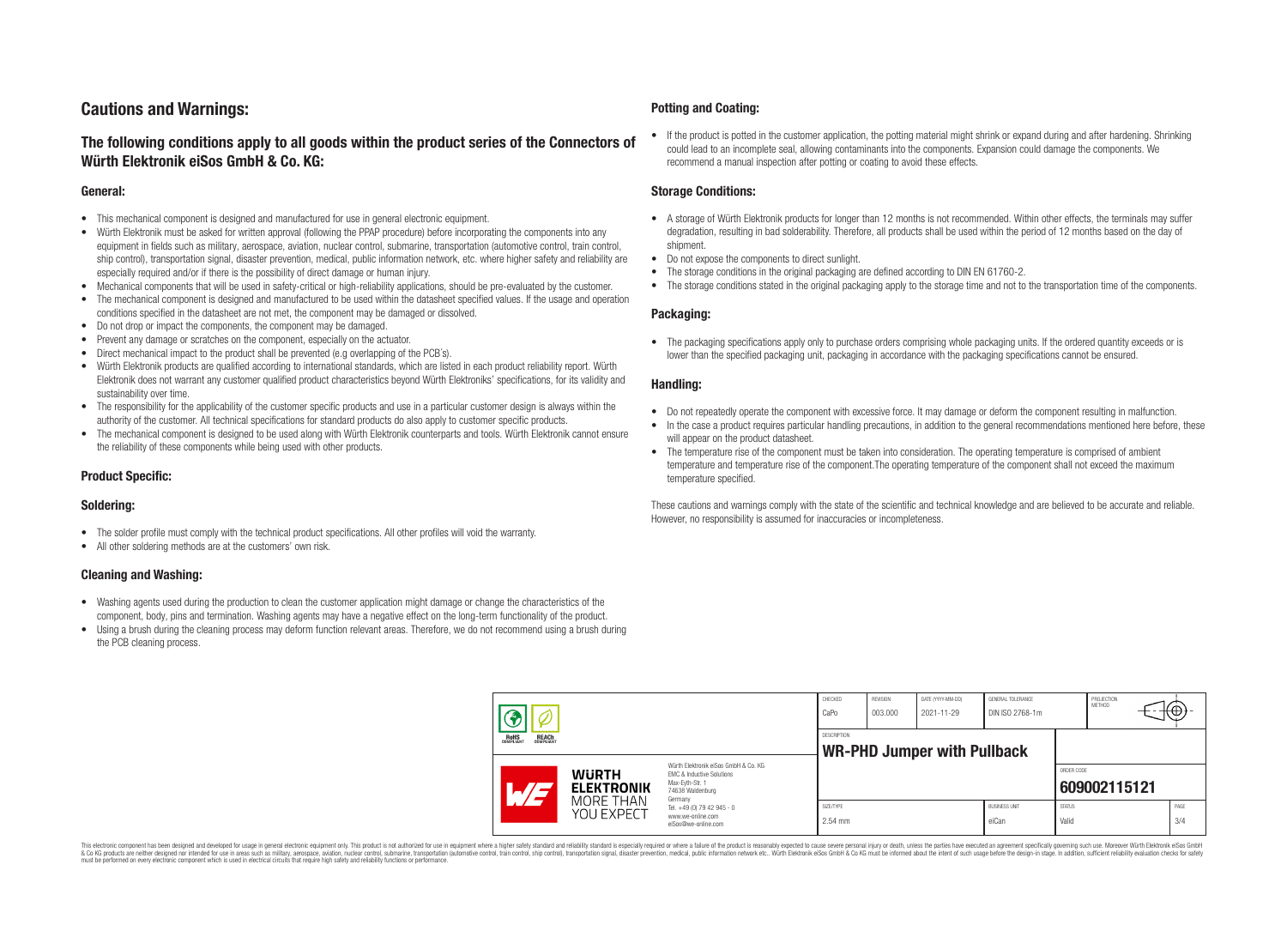# **Cautions and Warnings:**

## **The following conditions apply to all goods within the product series of the Connectors of Würth Elektronik eiSos GmbH & Co. KG:**

#### **General:**

- This mechanical component is designed and manufactured for use in general electronic equipment.
- Würth Elektronik must be asked for written approval (following the PPAP procedure) before incorporating the components into any equipment in fields such as military, aerospace, aviation, nuclear control, submarine, transportation (automotive control, train control, ship control), transportation signal, disaster prevention, medical, public information network, etc. where higher safety and reliability are especially required and/or if there is the possibility of direct damage or human injury.
- Mechanical components that will be used in safety-critical or high-reliability applications, should be pre-evaluated by the customer.
- The mechanical component is designed and manufactured to be used within the datasheet specified values. If the usage and operation conditions specified in the datasheet are not met, the component may be damaged or dissolved.
- Do not drop or impact the components, the component may be damaged.
- Prevent any damage or scratches on the component, especially on the actuator.
- Direct mechanical impact to the product shall be prevented (e.g overlapping of the PCB's).
- Würth Elektronik products are qualified according to international standards, which are listed in each product reliability report. Würth Elektronik does not warrant any customer qualified product characteristics beyond Würth Elektroniks' specifications, for its validity and sustainability over time.
- The responsibility for the applicability of the customer specific products and use in a particular customer design is always within the authority of the customer. All technical specifications for standard products do also apply to customer specific products.
- The mechanical component is designed to be used along with Würth Elektronik counterparts and tools. Würth Elektronik cannot ensure the reliability of these components while being used with other products.

## **Product Specific:**

## **Soldering:**

- The solder profile must comply with the technical product specifications. All other profiles will void the warranty.
- All other soldering methods are at the customers' own risk.

## **Cleaning and Washing:**

- Washing agents used during the production to clean the customer application might damage or change the characteristics of the component, body, pins and termination. Washing agents may have a negative effect on the long-term functionality of the product.
- Using a brush during the cleaning process may deform function relevant areas. Therefore, we do not recommend using a brush during the PCB cleaning process.

#### **Potting and Coating:**

• If the product is potted in the customer application, the potting material might shrink or expand during and after hardening. Shrinking could lead to an incomplete seal, allowing contaminants into the components. Expansion could damage the components. We recommend a manual inspection after potting or coating to avoid these effects.

#### **Storage Conditions:**

- A storage of Würth Elektronik products for longer than 12 months is not recommended. Within other effects, the terminals may suffer degradation, resulting in bad solderability. Therefore, all products shall be used within the period of 12 months based on the day of shipment.
- Do not expose the components to direct sunlight.
- The storage conditions in the original packaging are defined according to DIN EN 61760-2.
- The storage conditions stated in the original packaging apply to the storage time and not to the transportation time of the components.

## **Packaging:**

• The packaging specifications apply only to purchase orders comprising whole packaging units. If the ordered quantity exceeds or is lower than the specified packaging unit, packaging in accordance with the packaging specifications cannot be ensured.

#### **Handling:**

- Do not repeatedly operate the component with excessive force. It may damage or deform the component resulting in malfunction.
- In the case a product requires particular handling precautions, in addition to the general recommendations mentioned here before, these will appear on the product datasheet
- The temperature rise of the component must be taken into consideration. The operating temperature is comprised of ambient temperature and temperature rise of the component.The operating temperature of the component shall not exceed the maximum temperature specified.

These cautions and warnings comply with the state of the scientific and technical knowledge and are believed to be accurate and reliable. However, no responsibility is assumed for inaccuracies or incompleteness.

|                                                |                                                                                                   | CHECKED<br>CaPo                                                                                                     | <b>REVISION</b><br>003.000 | DATE (YYYY-MM-DD)<br>2021-11-29 | GENERAL TOLERANCE<br>DIN ISO 2768-1m |                               | PROJECTION<br>METHOD   | ι€           |             |
|------------------------------------------------|---------------------------------------------------------------------------------------------------|---------------------------------------------------------------------------------------------------------------------|----------------------------|---------------------------------|--------------------------------------|-------------------------------|------------------------|--------------|-------------|
| ROHS<br>COMPLIANT<br><b>REACH</b><br>COMPLIANT |                                                                                                   |                                                                                                                     | <b>DESCRIPTION</b>         |                                 | <b>WR-PHD Jumper with Pullback</b>   |                               |                        |              |             |
| W 3                                            | <b>WURTH</b><br><b>ELEKTRONIK</b>                                                                 | Würth Elektronik eiSos GmbH & Co. KG<br>EMC & Inductive Solutions<br>Max-Eyth-Str. 1<br>74638 Waldenburg<br>Germany |                            |                                 |                                      |                               | ORDER CODE             | 609002115121 |             |
|                                                | MORE THAN<br>Tel. +49 (0) 79 42 945 - 0<br>YOU EXPECT<br>www.we-online.com<br>eiSos@we-online.com |                                                                                                                     | SIZE/TYPE<br>2.54 mm       |                                 |                                      | <b>BUSINESS UNIT</b><br>eiCan | <b>STATUS</b><br>Valid |              | PAGE<br>3/4 |

This electronic component has been designed and developed for usage in general electronic equipment only. This product is not authorized for use in equipment where a higher safety standard and reliability standard si espec & Ook product a label and the membed of the seasuch as marked and as which such a membed and the such assume that income in the seasuch and the simulation and the such assume that include to the such a membed and the such